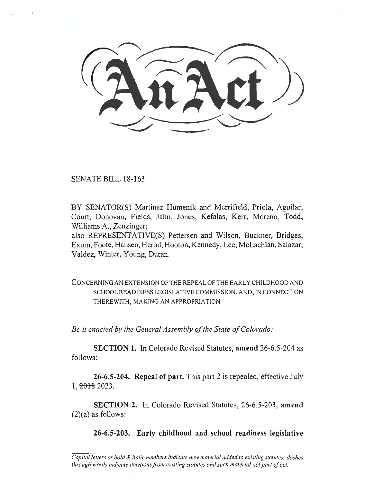SENATE BILL 18-163

BY SENATOR(S) Martinez Humenik and Merrifield, Priola, Aguilar, Court, Donovan, Fields, Jahn, Jones, Kefalas, Kerr, Moreno, Todd, Williams A., Zenzinger;

also REPRESENTATIVE(S) Pettersen and Wilson, Buckner, Bridges, Exum, Foote, Hansen, Herod, Hooton, Kennedy, Lee, McLachlan, Salazar, Valdez, Winter, Young, Duran.

CONCERNING AN EXTENSION OF THE REPEAL OF THE EARLY CHILDHOOD AND SCHOOL READINESS LEGISLATIVE COMMISSION, AND, IN CONNECTION THEREWITH, MAKING AN APPROPRIATION.

*Be it enacted by the General Assembly of the State of Colorado:* 

**SECTION 1.** In Colorado Revised Statutes, **amend** 26-6.5-204 as follows:

**26-6.5-204. Repeal of part.** This part 2 is repealed, effective July 1, <del>2018</del> 2023.

**SECTION 2.** In Colorado Revised Statutes, 26-6.5-203, **amend**   $(2)(a)$  as follows:

**26-6.5-203. Early childhood and school readiness legislative** 

*Capital letters or bold & italic numbers indicate new material added to existing statutes; dashes through words indicate deletions from existing statutes and such material not part of act.*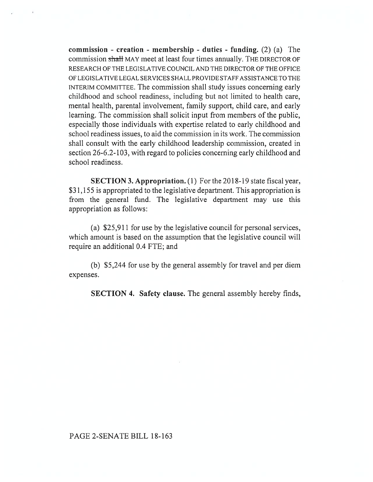**commission - creation - membership - duties - funding.** (2) (a) The commission shall MAY meet at least four times annually. The DIRECTOR OF RESEARCH OF THE LEGISLATIVE COUNCIL AND THE DIRECTOR OF THE OFFICE OF LEGISLATIVE LEGAL SERVICES SHALL PROVIDE STAFF ASSISTANCE TO THE INTERIM COMMITTEE. The commission shall study issues concerning early childhood and school readiness, including but not limited to health care, mental health, parental involvement, family support, child care, and early learning. The commission shall solicit input from members of the public, especially those individuals with expertise related to early childhood and school readiness issues, to aid the commission in its work. The commission shall consult with the early childhood leadership commission, created in section 26-6.2-103, with regard to policies concerning early childhood and school readiness.

**SECTION 3. Appropriation.** (1) For the 2018-19 state fiscal year, \$31,155 is appropriated to the legislative department. This appropriation is from the general fund. The legislative department may use this appropriation as follows:

(a) \$25,911 for use by the legislative council for personal services, which amount is based on the assumption that the legislative council will require an additional 0.4 FTE; and

(b) \$5,244 for use by the general assembly for travel and per diem expenses.

**SECTION 4. Safety clause.** The general assembly hereby finds,

## PAGE 2-SENATE BILL 18-163